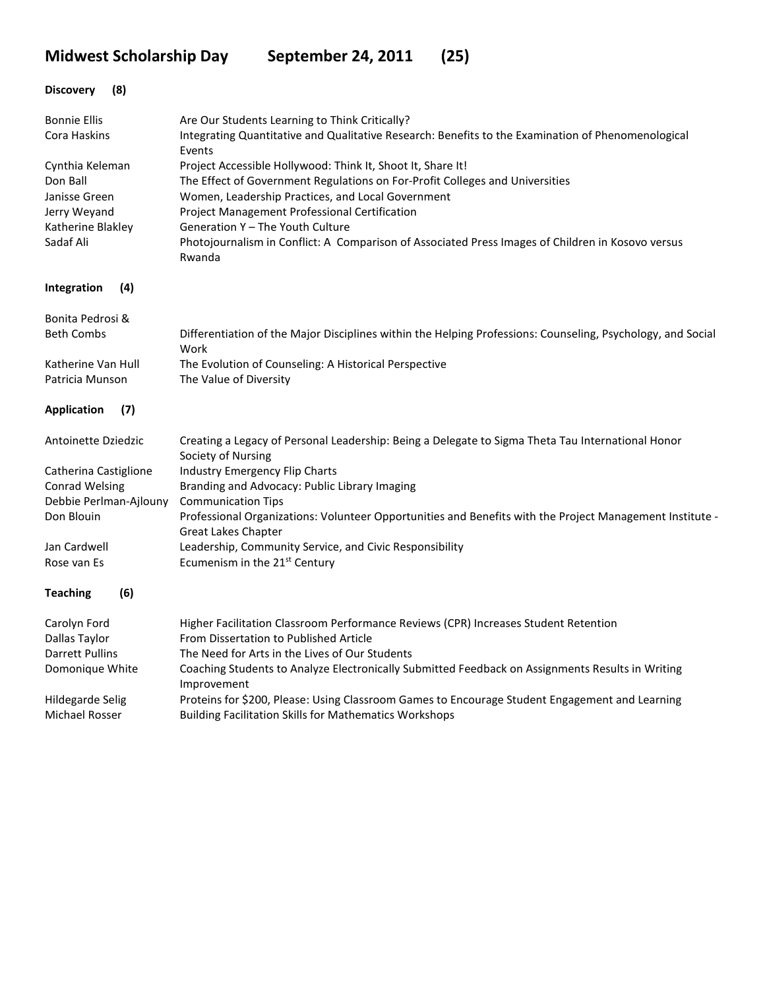**Midwest Scholarship Day September 24, 2011 (25)**

| (8)<br><b>Discovery</b>              |                                                                                                                                                    |
|--------------------------------------|----------------------------------------------------------------------------------------------------------------------------------------------------|
| <b>Bonnie Ellis</b>                  | Are Our Students Learning to Think Critically?                                                                                                     |
| Cora Haskins                         | Integrating Quantitative and Qualitative Research: Benefits to the Examination of Phenomenological<br>Events                                       |
| Cynthia Keleman                      | Project Accessible Hollywood: Think It, Shoot It, Share It!                                                                                        |
| Don Ball                             | The Effect of Government Regulations on For-Profit Colleges and Universities                                                                       |
| Janisse Green                        | Women, Leadership Practices, and Local Government                                                                                                  |
| Jerry Weyand<br>Katherine Blakley    | Project Management Professional Certification<br>Generation Y - The Youth Culture                                                                  |
| Sadaf Ali                            | Photojournalism in Conflict: A Comparison of Associated Press Images of Children in Kosovo versus                                                  |
|                                      | Rwanda                                                                                                                                             |
| Integration<br>(4)                   |                                                                                                                                                    |
| Bonita Pedrosi &                     |                                                                                                                                                    |
| <b>Beth Combs</b>                    | Differentiation of the Major Disciplines within the Helping Professions: Counseling, Psychology, and Social<br>Work                                |
| Katherine Van Hull                   | The Evolution of Counseling: A Historical Perspective                                                                                              |
| Patricia Munson                      | The Value of Diversity                                                                                                                             |
| (7)<br><b>Application</b>            |                                                                                                                                                    |
| Antoinette Dziedzic                  | Creating a Legacy of Personal Leadership: Being a Delegate to Sigma Theta Tau International Honor<br>Society of Nursing                            |
| Catherina Castiglione                | Industry Emergency Flip Charts                                                                                                                     |
| <b>Conrad Welsing</b>                | Branding and Advocacy: Public Library Imaging                                                                                                      |
| Debbie Perlman-Ajlouny<br>Don Blouin | <b>Communication Tips</b><br>Professional Organizations: Volunteer Opportunities and Benefits with the Project Management Institute -              |
|                                      | <b>Great Lakes Chapter</b>                                                                                                                         |
| Jan Cardwell                         | Leadership, Community Service, and Civic Responsibility                                                                                            |
| Rose van Es                          | Ecumenism in the 21 <sup>st</sup> Century                                                                                                          |
| <b>Teaching</b><br>(6)               |                                                                                                                                                    |
| Carolyn Ford                         | Higher Facilitation Classroom Performance Reviews (CPR) Increases Student Retention                                                                |
| Dallas Taylor                        | From Dissertation to Published Article                                                                                                             |
| Darrett Pullins                      | The Need for Arts in the Lives of Our Students<br>Coaching Students to Analyze Electronically Submitted Feedback on Assignments Results in Writing |
| Domonique White                      | Improvement                                                                                                                                        |
| Hildegarde Selig                     | Proteins for \$200, Please: Using Classroom Games to Encourage Student Engagement and Learning                                                     |
| Michael Rosser                       | <b>Building Facilitation Skills for Mathematics Workshops</b>                                                                                      |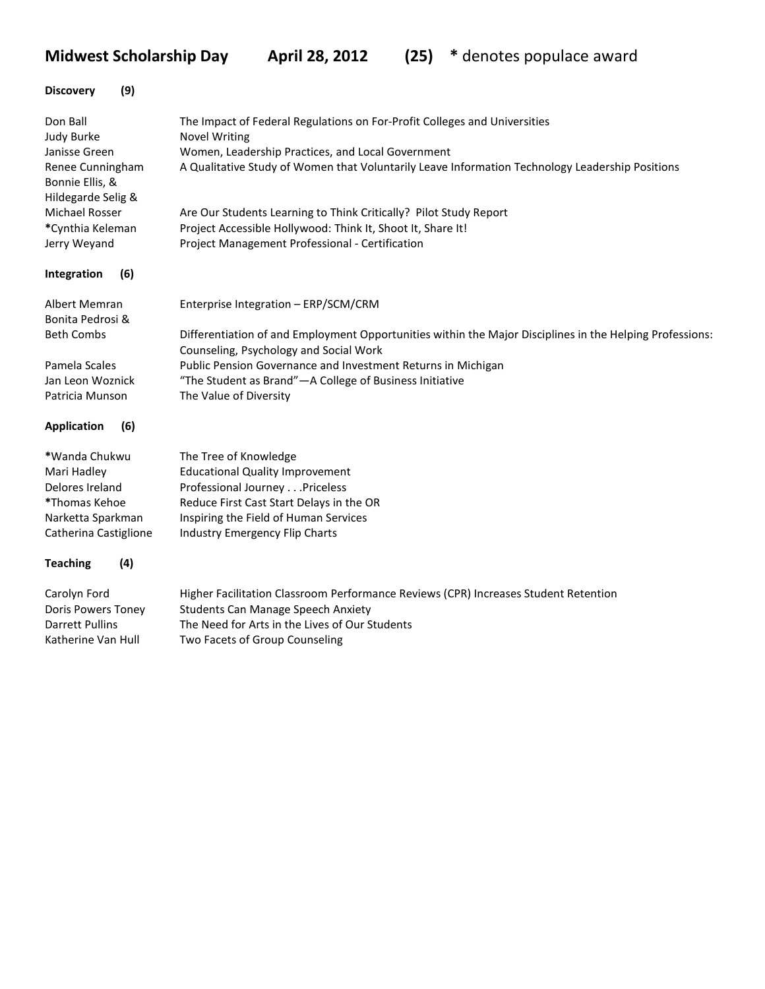**Midwest Scholarship Day April 28, 2012 (25) \*** denotes populace award

| The Impact of Federal Regulations on For-Profit Colleges and Universities<br><b>Novel Writing</b>                                                  |
|----------------------------------------------------------------------------------------------------------------------------------------------------|
| Women, Leadership Practices, and Local Government                                                                                                  |
| A Qualitative Study of Women that Voluntarily Leave Information Technology Leadership Positions                                                    |
| Are Our Students Learning to Think Critically? Pilot Study Report                                                                                  |
| Project Accessible Hollywood: Think It, Shoot It, Share It!                                                                                        |
| Project Management Professional - Certification                                                                                                    |
|                                                                                                                                                    |
| Enterprise Integration - ERP/SCM/CRM                                                                                                               |
| Differentiation of and Employment Opportunities within the Major Disciplines in the Helping Professions:<br>Counseling, Psychology and Social Work |
| Public Pension Governance and Investment Returns in Michigan                                                                                       |
| "The Student as Brand"-A College of Business Initiative                                                                                            |
| The Value of Diversity                                                                                                                             |
|                                                                                                                                                    |
| The Tree of Knowledge                                                                                                                              |
| <b>Educational Quality Improvement</b>                                                                                                             |
| Professional Journey Priceless                                                                                                                     |
| Reduce First Cast Start Delays in the OR                                                                                                           |
| Inspiring the Field of Human Services                                                                                                              |
| Industry Emergency Flip Charts                                                                                                                     |
|                                                                                                                                                    |
| Higher Facilitation Classroom Performance Reviews (CPR) Increases Student Retention                                                                |
| <b>Students Can Manage Speech Anxiety</b>                                                                                                          |
| The Need for Arts in the Lives of Our Students                                                                                                     |
| Two Facets of Group Counseling                                                                                                                     |
|                                                                                                                                                    |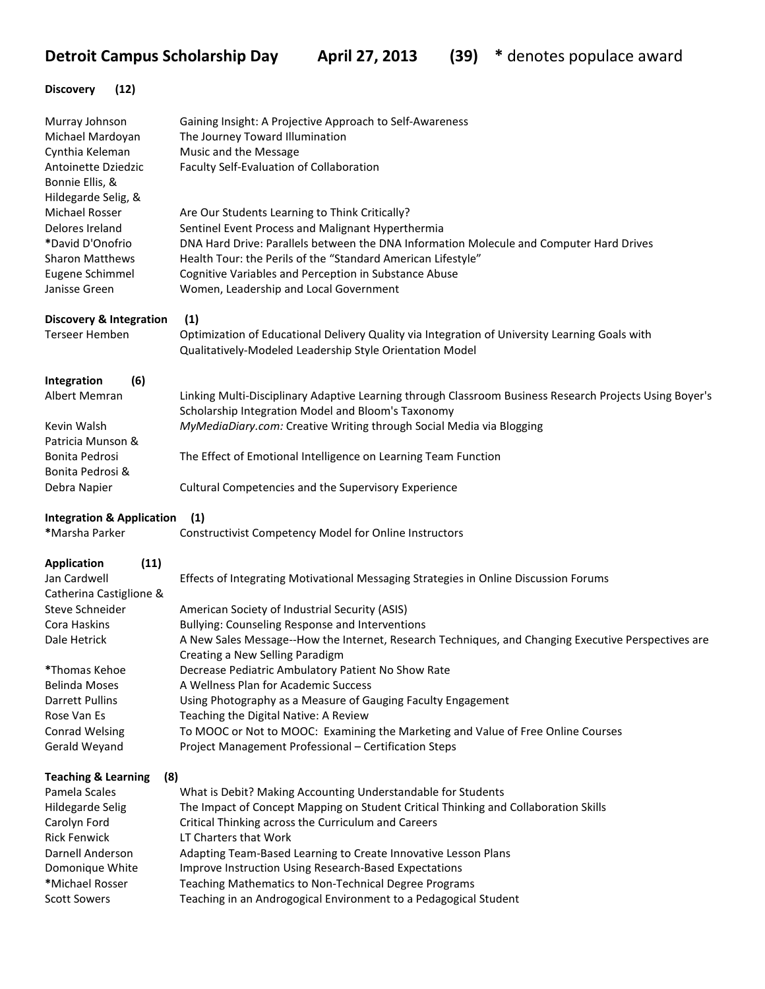**Detroit Campus Scholarship Day April 27, 2013 (39) \* denotes populace award** 

## **Discovery (12)**

| Murray Johnson<br>Michael Mardoyan     | Gaining Insight: A Projective Approach to Self-Awareness<br>The Journey Toward Illumination                               |  |  |  |
|----------------------------------------|---------------------------------------------------------------------------------------------------------------------------|--|--|--|
| Cynthia Keleman                        | Music and the Message                                                                                                     |  |  |  |
| Antoinette Dziedzic                    | Faculty Self-Evaluation of Collaboration                                                                                  |  |  |  |
| Bonnie Ellis, &                        |                                                                                                                           |  |  |  |
| Hildegarde Selig, &                    |                                                                                                                           |  |  |  |
| Michael Rosser                         | Are Our Students Learning to Think Critically?                                                                            |  |  |  |
| Delores Ireland                        | Sentinel Event Process and Malignant Hyperthermia                                                                         |  |  |  |
| *David D'Onofrio                       | DNA Hard Drive: Parallels between the DNA Information Molecule and Computer Hard Drives                                   |  |  |  |
| <b>Sharon Matthews</b>                 | Health Tour: the Perils of the "Standard American Lifestyle"                                                              |  |  |  |
| Eugene Schimmel                        | Cognitive Variables and Perception in Substance Abuse                                                                     |  |  |  |
| Janisse Green                          | Women, Leadership and Local Government                                                                                    |  |  |  |
| <b>Discovery &amp; Integration</b>     | (1)                                                                                                                       |  |  |  |
| <b>Terseer Hemben</b>                  | Optimization of Educational Delivery Quality via Integration of University Learning Goals with                            |  |  |  |
|                                        | Qualitatively-Modeled Leadership Style Orientation Model                                                                  |  |  |  |
| (6)<br>Integration                     |                                                                                                                           |  |  |  |
| <b>Albert Memran</b>                   | Linking Multi-Disciplinary Adaptive Learning through Classroom Business Research Projects Using Boyer's                   |  |  |  |
|                                        | Scholarship Integration Model and Bloom's Taxonomy                                                                        |  |  |  |
| Kevin Walsh                            | MyMediaDiary.com: Creative Writing through Social Media via Blogging                                                      |  |  |  |
| Patricia Munson &                      |                                                                                                                           |  |  |  |
| Bonita Pedrosi                         | The Effect of Emotional Intelligence on Learning Team Function                                                            |  |  |  |
| Bonita Pedrosi &                       |                                                                                                                           |  |  |  |
| Debra Napier                           | Cultural Competencies and the Supervisory Experience                                                                      |  |  |  |
| <b>Integration &amp; Application</b>   | (1)                                                                                                                       |  |  |  |
| *Marsha Parker                         | Constructivist Competency Model for Online Instructors                                                                    |  |  |  |
| (11)<br><b>Application</b>             |                                                                                                                           |  |  |  |
| Jan Cardwell                           | Effects of Integrating Motivational Messaging Strategies in Online Discussion Forums                                      |  |  |  |
| Catherina Castiglione &                |                                                                                                                           |  |  |  |
| Steve Schneider                        | American Society of Industrial Security (ASIS)                                                                            |  |  |  |
| Cora Haskins                           | Bullying: Counseling Response and Interventions                                                                           |  |  |  |
| Dale Hetrick                           | A New Sales Message--How the Internet, Research Techniques, and Changing Executive Perspectives are                       |  |  |  |
|                                        | Creating a New Selling Paradigm                                                                                           |  |  |  |
| *Thomas Kehoe                          | Decrease Pediatric Ambulatory Patient No Show Rate                                                                        |  |  |  |
| <b>Belinda Moses</b>                   | A Wellness Plan for Academic Success                                                                                      |  |  |  |
| Darrett Pullins                        | Using Photography as a Measure of Gauging Faculty Engagement                                                              |  |  |  |
| Rose Van Es                            | Teaching the Digital Native: A Review                                                                                     |  |  |  |
| <b>Conrad Welsing</b>                  | To MOOC or Not to MOOC: Examining the Marketing and Value of Free Online Courses                                          |  |  |  |
| Gerald Weyand                          | Project Management Professional - Certification Steps                                                                     |  |  |  |
| <b>Teaching &amp; Learning</b><br>(8)  |                                                                                                                           |  |  |  |
| Pamela Scales                          | What is Debit? Making Accounting Understandable for Students                                                              |  |  |  |
| <b>Hildegarde Selig</b>                | The Impact of Concept Mapping on Student Critical Thinking and Collaboration Skills                                       |  |  |  |
| Carolyn Ford                           | Critical Thinking across the Curriculum and Careers                                                                       |  |  |  |
| <b>Rick Fenwick</b>                    | LT Charters that Work                                                                                                     |  |  |  |
| Darnell Anderson                       | Adapting Team-Based Learning to Create Innovative Lesson Plans                                                            |  |  |  |
| Domonique White                        | Improve Instruction Using Research-Based Expectations                                                                     |  |  |  |
| *Michael Rosser<br><b>Scott Sowers</b> | Teaching Mathematics to Non-Technical Degree Programs<br>Teaching in an Androgogical Environment to a Pedagogical Student |  |  |  |
|                                        |                                                                                                                           |  |  |  |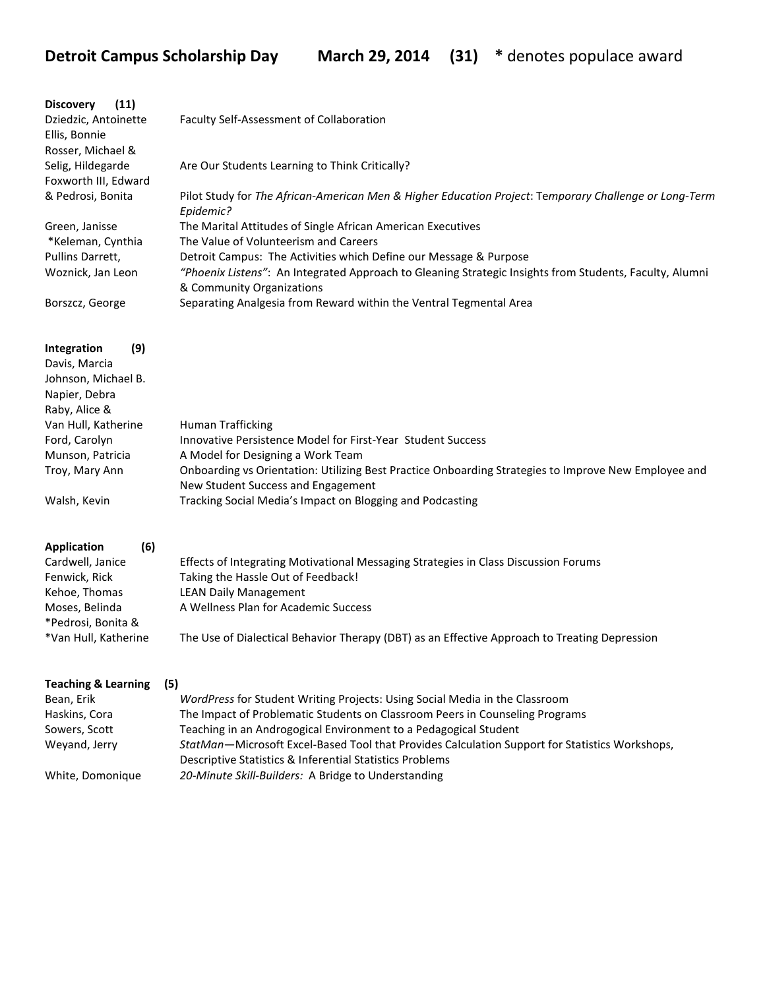| <b>Discovery</b><br>(11)<br>Dziedzic, Antoinette<br>Ellis, Bonnie<br>Rosser, Michael & | Faculty Self-Assessment of Collaboration                                                                                                                   |
|----------------------------------------------------------------------------------------|------------------------------------------------------------------------------------------------------------------------------------------------------------|
| Selig, Hildegarde                                                                      | Are Our Students Learning to Think Critically?                                                                                                             |
| Foxworth III, Edward<br>& Pedrosi, Bonita                                              | Pilot Study for The African-American Men & Higher Education Project: Temporary Challenge or Long-Term<br>Epidemic?                                         |
| Green, Janisse                                                                         | The Marital Attitudes of Single African American Executives                                                                                                |
| *Keleman, Cynthia<br>Pullins Darrett,                                                  | The Value of Volunteerism and Careers<br>Detroit Campus: The Activities which Define our Message & Purpose                                                 |
| Woznick, Jan Leon                                                                      | "Phoenix Listens": An Integrated Approach to Gleaning Strategic Insights from Students, Faculty, Alumni<br>& Community Organizations                       |
| Borszcz, George                                                                        | Separating Analgesia from Reward within the Ventral Tegmental Area                                                                                         |
|                                                                                        |                                                                                                                                                            |
| (9)<br>Integration                                                                     |                                                                                                                                                            |
| Davis, Marcia                                                                          |                                                                                                                                                            |
| Johnson, Michael B.<br>Napier, Debra                                                   |                                                                                                                                                            |
| Raby, Alice &                                                                          |                                                                                                                                                            |
| Van Hull, Katherine                                                                    | <b>Human Trafficking</b>                                                                                                                                   |
| Ford, Carolyn                                                                          | Innovative Persistence Model for First-Year Student Success                                                                                                |
| Munson, Patricia                                                                       | A Model for Designing a Work Team                                                                                                                          |
| Troy, Mary Ann                                                                         | Onboarding vs Orientation: Utilizing Best Practice Onboarding Strategies to Improve New Employee and<br>New Student Success and Engagement                 |
| Walsh, Kevin                                                                           | Tracking Social Media's Impact on Blogging and Podcasting                                                                                                  |
| (6)<br><b>Application</b>                                                              |                                                                                                                                                            |
| Cardwell, Janice                                                                       | Effects of Integrating Motivational Messaging Strategies in Class Discussion Forums                                                                        |
| Fenwick, Rick                                                                          | Taking the Hassle Out of Feedback!                                                                                                                         |
| Kehoe, Thomas                                                                          | <b>LEAN Daily Management</b>                                                                                                                               |
| Moses, Belinda                                                                         | A Wellness Plan for Academic Success                                                                                                                       |
| *Pedrosi, Bonita &                                                                     |                                                                                                                                                            |
| *Van Hull, Katherine                                                                   | The Use of Dialectical Behavior Therapy (DBT) as an Effective Approach to Treating Depression                                                              |
| <b>Teaching &amp; Learning</b><br>(5)                                                  |                                                                                                                                                            |
| Bean, Erik                                                                             | WordPress for Student Writing Projects: Using Social Media in the Classroom                                                                                |
| Haskins, Cora                                                                          | The Impact of Problematic Students on Classroom Peers in Counseling Programs                                                                               |
| Sowers, Scott                                                                          | Teaching in an Androgogical Environment to a Pedagogical Student                                                                                           |
| Weyand, Jerry                                                                          | StatMan-Microsoft Excel-Based Tool that Provides Calculation Support for Statistics Workshops,<br>Descriptive Statistics & Inferential Statistics Problems |
| White, Domonique                                                                       | 20-Minute Skill-Builders: A Bridge to Understanding                                                                                                        |